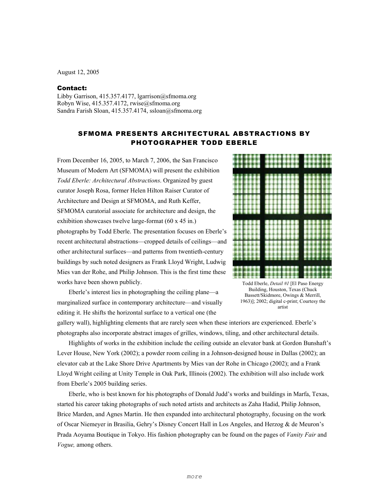August 12, 2005

## Contact:

Libby Garrison, 415.357.4177, lgarrison@sfmoma.org Robyn Wise, 415.357.4172, rwise@sfmoma.org Sandra Farish Sloan, 415.357.4174, ssloan@sfmoma.org

## SFMOMA PRESENTS ARCHITECTURAL ABSTRACTIONS BY PHOTOGRAPHER TODD EBERLE

From December 16, 2005, to March 7, 2006, the San Francisco Museum of Modern Art (SFMOMA) will present the exhibition *Todd Eberle: Architectural Abstractions*. Organized by guest curator Joseph Rosa, former Helen Hilton Raiser Curator of Architecture and Design at SFMOMA, and Ruth Keffer, SFMOMA curatorial associate for architecture and design, the exhibition showcases twelve large-format (60 x 45 in.) photographs by Todd Eberle. The presentation focuses on Eberle's recent architectural abstractions—cropped details of ceilings—and other architectural surfaces—and patterns from twentieth-century buildings by such noted designers as Frank Lloyd Wright, Ludwig Mies van der Rohe, and Philip Johnson. This is the first time these works have been shown publicly.

Eberle's interest lies in photographing the ceiling plane—a marginalized surface in contemporary architecture—and visually editing it. He shifts the horizontal surface to a vertical one (the



Todd Eberle, *Detail #1* [El Paso Energy Building, Houston, Texas (Chuck Bassett/Skidmore, Owings & Merrill, 1963)]; 2002; digital c-print; Courtesy the artist

gallery wall), highlighting elements that are rarely seen when these interiors are experienced. Eberle's photographs also incorporate abstract images of grilles, windows, tiling, and other architectural details.

Highlights of works in the exhibition include the ceiling outside an elevator bank at Gordon Bunshaft's Lever House, New York (2002); a powder room ceiling in a Johnson-designed house in Dallas (2002); an elevator cab at the Lake Shore Drive Apartments by Mies van der Rohe in Chicago (2002); and a Frank Lloyd Wright ceiling at Unity Temple in Oak Park, Illinois (2002). The exhibition will also include work from Eberle's 2005 building series.

 Eberle, who is best known for his photographs of Donald Judd's works and buildings in Marfa, Texas, started his career taking photographs of such noted artists and architects as Zaha Hadid, Philip Johnson, Brice Marden, and Agnes Martin. He then expanded into architectural photography, focusing on the work of Oscar Niemeyer in Brasilia, Gehry's Disney Concert Hall in Los Angeles, and Herzog & de Meuron's Prada Aoyama Boutique in Tokyo. His fashion photography can be found on the pages of *Vanity Fair* and *Vogue,* among others.